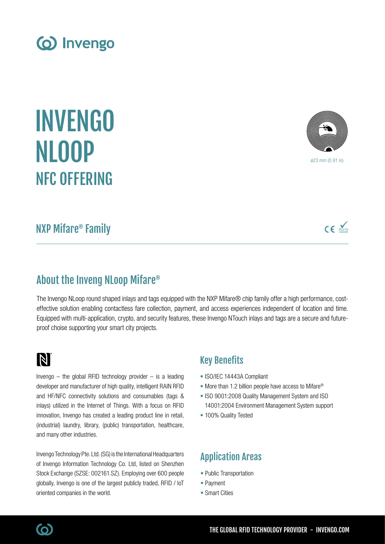INVENGO NLOOP NFC OFFERING

(o) Invengo

## About the Inveng NLoop Mifare®

The Invengo NLoop round shaped inlays and tags equipped with the NXP Mifare® chip family offer a high performance, costeffective solution enabling contactless fare collection, payment, and access experiences independent of location and time. Equipped with multi-application, crypto, and security features, these Invengo NTouch inlays and tags are a secure and futureproof choise supporting your smart city projects.

## N

Invengo  $-$  the global RFID technology provider  $-$  is a leading developer and manufacturer of high quality, intelligent RAIN RFID and HF/NFC connectivity solutions and consumables (tags & inlays) utilized in the Internet of Things. With a focus on RFID innovation, Invengo has created a leading product line in retail, (industrial) laundry, library, (public) transportation, healthcare, and many other industries.

Invengo Technology Pte. Ltd. (SG) is the International Headquarters of Invengo Information Technology Co. Ltd, listed on Shenzhen Stock Exchange (SZSE: 002161.SZ). Employing over 600 people globally, Invengo is one of the largest publicly traded, RFID / IoT oriented companies in the world.

### Key Benefits

- ISO/IEC 14443A Compliant
- More than 1.2 billion people have access to Mifare<sup>®</sup>
- ISO 9001:2008 Quality Management System and ISO 14001:2004 Environment Management System support
- 100% Quality Tested

## Application Areas

- Public Transportation
- Payment
- Smart Cities

# NXP Mifare® Family